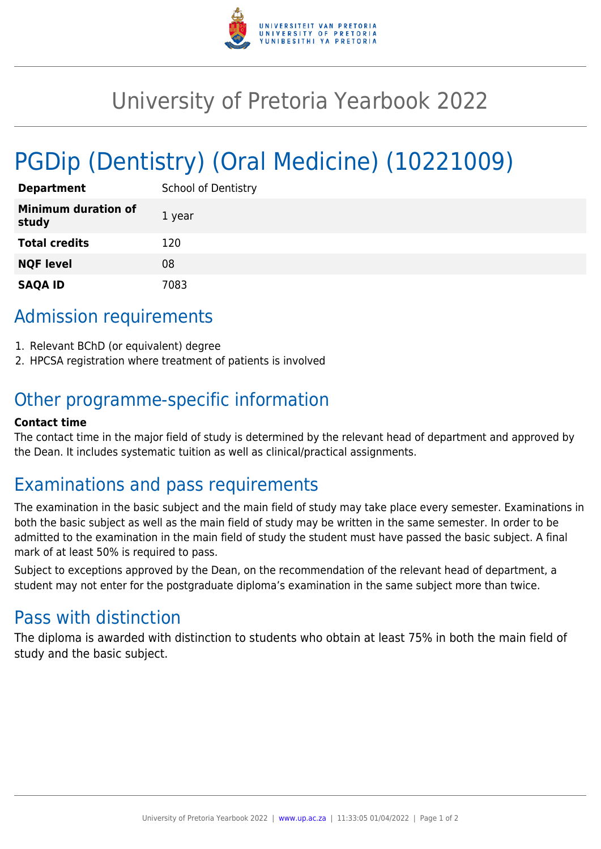

# University of Pretoria Yearbook 2022

# PGDip (Dentistry) (Oral Medicine) (10221009)

| <b>Department</b>                   | <b>School of Dentistry</b> |
|-------------------------------------|----------------------------|
| <b>Minimum duration of</b><br>study | 1 year                     |
| <b>Total credits</b>                | 120                        |
| <b>NQF level</b>                    | 08                         |
| <b>SAQA ID</b>                      | 7083                       |

# Admission requirements

- 1. Relevant BChD (or equivalent) degree
- 2. HPCSA registration where treatment of patients is involved

# Other programme-specific information

#### **Contact time**

The contact time in the major field of study is determined by the relevant head of department and approved by the Dean. It includes systematic tuition as well as clinical/practical assignments.

## Examinations and pass requirements

The examination in the basic subject and the main field of study may take place every semester. Examinations in both the basic subject as well as the main field of study may be written in the same semester. In order to be admitted to the examination in the main field of study the student must have passed the basic subject. A final mark of at least 50% is required to pass.

Subject to exceptions approved by the Dean, on the recommendation of the relevant head of department, a student may not enter for the postgraduate diploma's examination in the same subject more than twice.

## Pass with distinction

The diploma is awarded with distinction to students who obtain at least 75% in both the main field of study and the basic subject.